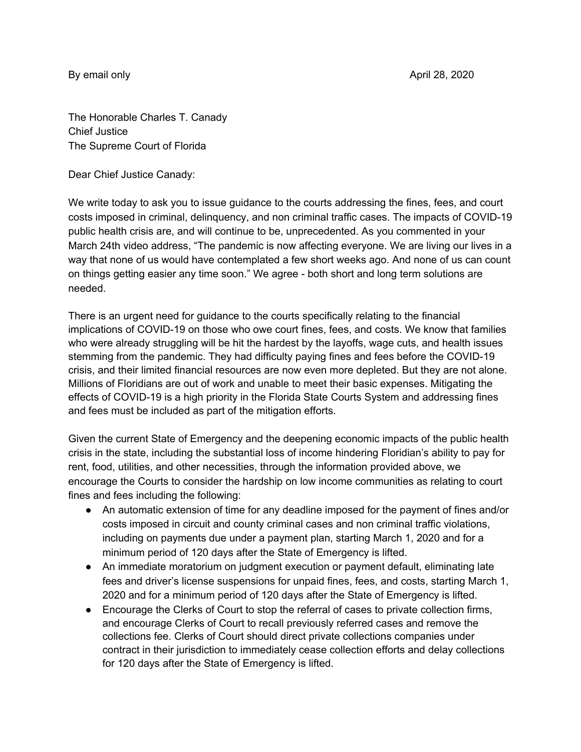The Honorable Charles T. Canady Chief Justice The Supreme Court of Florida

Dear Chief Justice Canady:

We write today to ask you to issue guidance to the courts addressing the fines, fees, and court costs imposed in criminal, delinquency, and non criminal traffic cases. The impacts of COVID-19 public health crisis are, and will continue to be, unprecedented. As you commented in your March 24th video address, "The pandemic is now affecting everyone. We are living our lives in a way that none of us would have contemplated a few short weeks ago. And none of us can count on things getting easier any time soon." We agree - both short and long term solutions are needed.

There is an urgent need for guidance to the courts specifically relating to the financial implications of COVID-19 on those who owe court fines, fees, and costs. We know that families who were already struggling will be hit the hardest by the layoffs, wage cuts, and health issues stemming from the pandemic. They had difficulty paying fines and fees before the COVID-19 crisis, and their limited financial resources are now even more depleted. But they are not alone. Millions of Floridians are out of work and unable to meet their basic expenses. Mitigating the effects of COVID-19 is a high priority in the Florida State Courts System and addressing fines and fees must be included as part of the mitigation efforts.

Given the current State of Emergency and the deepening economic impacts of the public health crisis in the state, including the substantial loss of income hindering Floridian's ability to pay for rent, food, utilities, and other necessities, through the information provided above, we encourage the Courts to consider the hardship on low income communities as relating to court fines and fees including the following:

- An automatic extension of time for any deadline imposed for the payment of fines and/or costs imposed in circuit and county criminal cases and non criminal traffic violations, including on payments due under a payment plan, starting March 1, 2020 and for a minimum period of 120 days after the State of Emergency is lifted.
- An immediate moratorium on judgment execution or payment default, eliminating late fees and driver's license suspensions for unpaid fines, fees, and costs, starting March 1, 2020 and for a minimum period of 120 days after the State of Emergency is lifted.
- Encourage the Clerks of Court to stop the referral of cases to private collection firms, and encourage Clerks of Court to recall previously referred cases and remove the collections fee. Clerks of Court should direct private collections companies under contract in their jurisdiction to immediately cease collection efforts and delay collections for 120 days after the State of Emergency is lifted.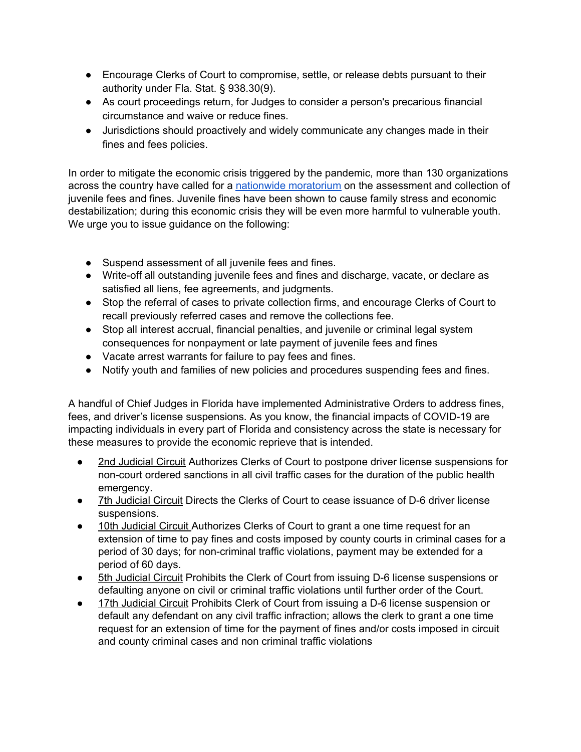- Encourage Clerks of Court to compromise, settle, or release debts pursuant to their authority under Fla. Stat. § 938.30(9).
- As court proceedings return, for Judges to consider a person's precarious financial circumstance and waive or reduce fines.
- Jurisdictions should proactively and widely communicate any changes made in their fines and fees policies.

In order to mitigate the economic crisis triggered by the pandemic, more than 130 organizations across the country have called for a nationwide [moratorium](https://drive.google.com/file/d/1JmX2L9cArGxAL8yl4IjWolOB6XAQIFcz/view) on the assessment and collection of juvenile fees and fines. Juvenile fines have been shown to cause family stress and economic destabilization; during this economic crisis they will be even more harmful to vulnerable youth. We urge you to issue guidance on the following:

- Suspend assessment of all juvenile fees and fines.
- Write-off all outstanding juvenile fees and fines and discharge, vacate, or declare as satisfied all liens, fee agreements, and judgments.
- Stop the referral of cases to private collection firms, and encourage Clerks of Court to recall previously referred cases and remove the collections fee.
- Stop all interest accrual, financial penalties, and juvenile or criminal legal system consequences for nonpayment or late payment of juvenile fees and fines
- Vacate arrest warrants for failure to pay fees and fines.
- Notify youth and families of new policies and procedures suspending fees and fines.

A handful of Chief Judges in Florida have implemented Administrative Orders to address fines, fees, and driver's license suspensions. As you know, the financial impacts of COVID-19 are impacting individuals in every part of Florida and consistency across the state is necessary for these measures to provide the economic reprieve that is intended.

- 2nd [Judicial](https://cvweb.clerk.leon.fl.us/public/clerk_services/official_records/download_document.asp?book=5426&page=512) Circuit Authorizes Clerks of Court to postpone driver license suspensions for non-court ordered sanctions in all civil traffic cases for the duration of the public health emergency.
- 7th [Judicial](http://www.circuit7.org/Communications/Chief%20Judge%20Coronavirus%20Message%202.pdf) Circuit Directs the Clerks of Court to cease issuance of D-6 driver license suspensions.
- 10th [Judicial](http://www.jud10.flcourts.org/sites/default/files/adminOrders/AO_7-16.0.pdf) Circuit Authorizes Clerks of Court to grant a one time request for an extension of time to pay fines and costs imposed by county courts in criminal cases for a period of 30 days; for non-criminal traffic violations, payment may be extended for a period of 60 days.
- 5th [Judicial](https://15thcircuit.com/sites/default/files/administrative-orders/12.510.pdf) Circuit Prohibits the Clerk of Court from issuing D-6 license suspensions or defaulting anyone on civil or criminal traffic violations until further order of the Court.
- 17th [Judicial](http://www.17th.flcourts.org/2020/03/27/order-court-operations-through-april-17-2020/) Circuit Prohibits Clerk of Court from issuing a D-6 license suspension or default any defendant on any civil traffic infraction; allows the clerk to grant a one time request for an extension of time for the payment of fines and/or costs imposed in circuit and county criminal cases and non criminal traffic violations